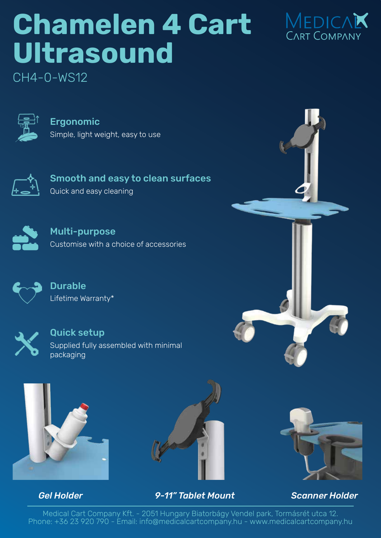## **Chamelen 4 Cart Ultrasound**



CH4-0-WS12



Ergonomic Simple, light weight, easy to use



Smooth and easy to clean surfaces Quick and easy cleaning



Multi-purpose Customise with a choice of accessories



Durable Lifetime Warranty\*



Quick setup Supplied fully assembled with minimal packaging





## *Gel Holder 9-11" Tablet Mount Scanner Holder*



Medical Cart Company Kft. - 2051 Hungary Biatorbágy Vendel park, Tormásrét utca 12. Phone: +36 23 920 790 - Email: info@medicalcartcompany.hu - www.medicalcartcompany.hu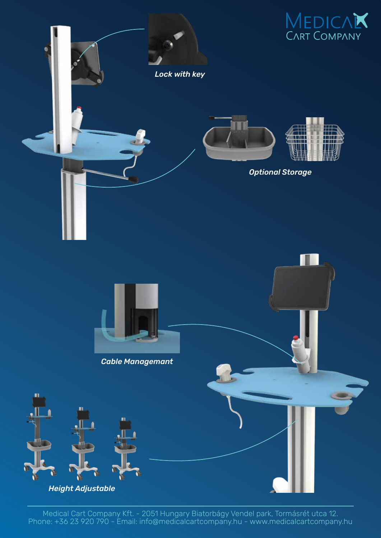